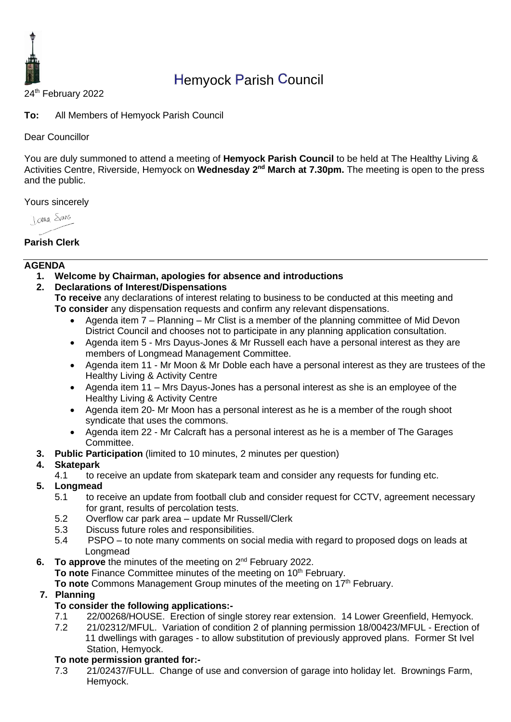

# Hemyock Parish Council

24<sup>th</sup> February 2022

**To:** All Members of Hemyock Parish Council

#### Dear Councillor

You are duly summoned to attend a meeting of **Hemyock Parish Council** to be held at The Healthy Living & Activities Centre, Riverside, Hemyock on Wednesday 2<sup>nd</sup> March at 7.30pm. The meeting is open to the press and the public.

Yours sincerely

**I ama** Spans

#### **Parish Clerk**

#### **AGENDA**

**1. Welcome by Chairman, apologies for absence and introductions**

#### **2. Declarations of Interest/Dispensations**

**To receive** any declarations of interest relating to business to be conducted at this meeting and **To consider** any dispensation requests and confirm any relevant dispensations.

- Agenda item 7 Planning Mr Clist is a member of the planning committee of Mid Devon District Council and chooses not to participate in any planning application consultation.
- Agenda item 5 Mrs Dayus-Jones & Mr Russell each have a personal interest as they are members of Longmead Management Committee.
- Agenda item 11 Mr Moon & Mr Doble each have a personal interest as they are trustees of the Healthy Living & Activity Centre
- Agenda item 11 Mrs Dayus-Jones has a personal interest as she is an employee of the Healthy Living & Activity Centre
- Agenda item 20- Mr Moon has a personal interest as he is a member of the rough shoot syndicate that uses the commons.
- Agenda item 22 Mr Calcraft has a personal interest as he is a member of The Garages Committee.
- **3. Public Participation** (limited to 10 minutes, 2 minutes per question)

## **4. Skatepark**

- 4.1 to receive an update from skatepark team and consider any requests for funding etc.
- **5. Longmead**
	- 5.1 to receive an update from football club and consider request for CCTV, agreement necessary for grant, results of percolation tests.
	- 5.2 Overflow car park area update Mr Russell/Clerk
	- 5.3 Discuss future roles and responsibilities.
	- 5.4 PSPO to note many comments on social media with regard to proposed dogs on leads at Longmead
- **6.** To approve the minutes of the meeting on 2<sup>nd</sup> February 2022.

**To note** Finance Committee minutes of the meeting on 10<sup>th</sup> February.

**To note** Commons Management Group minutes of the meeting on 17<sup>th</sup> February.

#### **7. Planning**

## **To consider the following applications:-**

- 7.1 22/00268/HOUSE. Erection of single storey rear extension. 14 Lower Greenfield, Hemyock.
- 7.2 21/02312/MFUL. Variation of condition 2 of planning permission 18/00423/MFUL Erection of 11 dwellings with garages - to allow substitution of previously approved plans. Former St Ivel Station, Hemyock.

## **To note permission granted for:-**

7.3 21/02437/FULL. Change of use and conversion of garage into holiday let. Brownings Farm, Hemyock.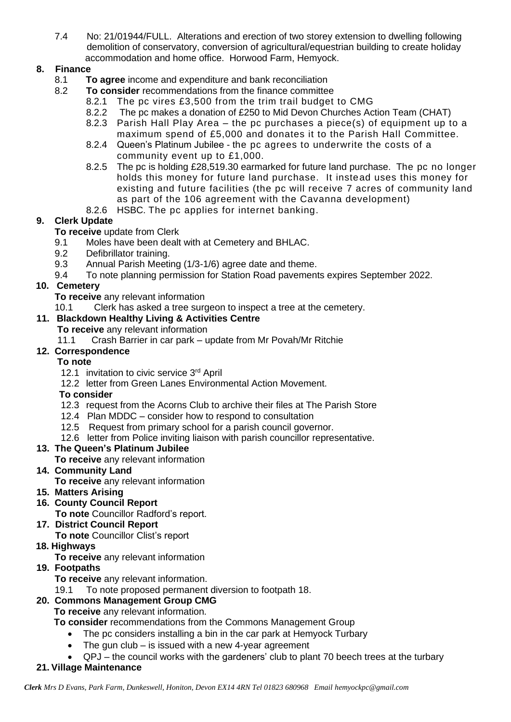7.4 No: 21/01944/FULL. Alterations and erection of two storey extension to dwelling following demolition of conservatory, conversion of agricultural/equestrian building to create holiday accommodation and home office. Horwood Farm, Hemyock.

## **8. Finance**

- 8.1 **To agree** income and expenditure and bank reconciliation
- 8.2 **To consider** recommendations from the finance committee
	- 8.2.1 The pc vires £3,500 from the trim trail budget to CMG
	- 8.2.2 The pc makes a donation of £250 to Mid Devon Churches Action Team (CHAT)
	- 8.2.3 Parish Hall Play Area the pc purchases a piece(s) of equipment up to a maximum spend of £5,000 and donates it to the Parish Hall Committee.
	- 8.2.4 Queen's Platinum Jubilee the pc agrees to underwrite the costs of a community event up to £1,000.
	- 8.2.5 The pc is holding £28,519.30 earmarked for future land purchase. The pc no longer holds this money for future land purchase. It instead uses this money for existing and future facilities (the pc will receive 7 acres of community land as part of the 106 agreement with the Cavanna development)
	- 8.2.6 HSBC. The pc applies for internet banking.

## **9. Clerk Update**

**To receive** update from Clerk

- 9.1 Moles have been dealt with at Cemetery and BHLAC.
- 9.2 Defibrillator training.
- 9.3 Annual Parish Meeting (1/3-1/6) agree date and theme.
- 9.4 To note planning permission for Station Road pavements expires September 2022.

## **10. Cemetery**

- **To receive** any relevant information
- 10.1 Clerk has asked a tree surgeon to inspect a tree at the cemetery.

## **11. Blackdown Healthy Living & Activities Centre**

- **To receive** any relevant information
- 11.1 Crash Barrier in car park update from Mr Povah/Mr Ritchie

## **12. Correspondence**

#### **To note**

- 12.1 invitation to civic service 3<sup>rd</sup> April
- 12.2 letter from Green Lanes Environmental Action Movement.

## **To consider**

- 12.3 request from the Acorns Club to archive their files at The Parish Store
- 12.4 Plan MDDC consider how to respond to consultation
- 12.5 Request from primary school for a parish council governor.
- 12.6 letter from Police inviting liaison with parish councillor representative.

## **13. The Queen's Platinum Jubilee**

- **To receive** any relevant information
- **14. Community Land**
	- **To receive** any relevant information
- **15. Matters Arising**
- **16. County Council Report**
	- **To note** Councillor Radford's report.

## **17. District Council Report**

**To note** Councillor Clist's report

## **18. Highways**

**To receive** any relevant information

## **19. Footpaths**

**To receive** any relevant information.

19.1 To note proposed permanent diversion to footpath 18.

## **20. Commons Management Group CMG**

**To receive** any relevant information.

**To consider** recommendations from the Commons Management Group

- The pc considers installing a bin in the car park at Hemyock Turbary
- The gun club is issued with a new 4-year agreement
- QPJ the council works with the gardeners' club to plant 70 beech trees at the turbary
- **21. Village Maintenance**